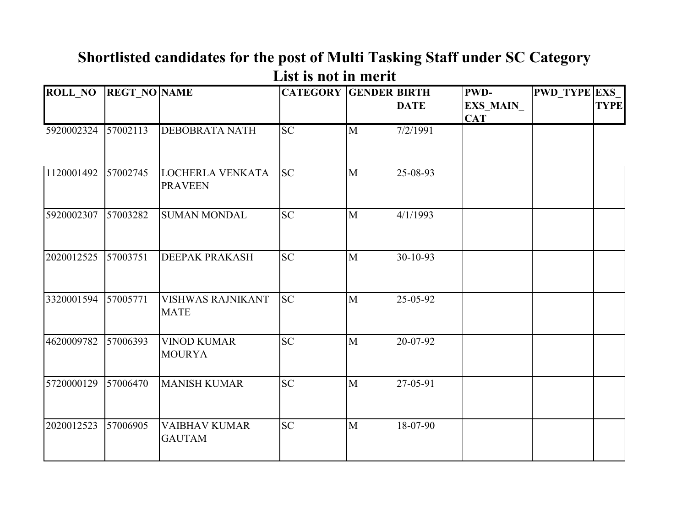| <b>ROLL NO</b> | <b>REGT NO NAME</b> |                                           | <b>CATEGORY GENDER BIRTH</b> |                | <b>DATE</b> | PWD-<br><b>EXS MAIN</b><br><b>CAT</b> | <b>PWD TYPE EXS</b> | <b>TYPE</b> |
|----------------|---------------------|-------------------------------------------|------------------------------|----------------|-------------|---------------------------------------|---------------------|-------------|
| 5920002324     | 57002113            | <b>DEBOBRATA NATH</b>                     | $\overline{SC}$              | $\mathbf M$    | 7/2/1991    |                                       |                     |             |
| 1120001492     | 57002745            | <b>LOCHERLA VENKATA</b><br><b>PRAVEEN</b> | <b>SC</b>                    | $\mathbf{M}$   | 25-08-93    |                                       |                     |             |
| 5920002307     | 57003282            | <b>SUMAN MONDAL</b>                       | <b>SC</b>                    | $\mathbf{M}$   | 4/1/1993    |                                       |                     |             |
| 2020012525     | 57003751            | <b>DEEPAK PRAKASH</b>                     | <b>SC</b>                    | $\mathbf{M}$   | 30-10-93    |                                       |                     |             |
| 3320001594     | 57005771            | <b>VISHWAS RAJNIKANT</b><br><b>MATE</b>   | <b>SC</b>                    | $\mathbf{M}$   | 25-05-92    |                                       |                     |             |
| 4620009782     | 57006393            | <b>VINOD KUMAR</b><br><b>MOURYA</b>       | $\overline{SC}$              | $\overline{M}$ | 20-07-92    |                                       |                     |             |
| 5720000129     | 57006470            | <b>MANISH KUMAR</b>                       | <b>SC</b>                    | $\mathbf{M}$   | 27-05-91    |                                       |                     |             |
| 2020012523     | 57006905            | <b>VAIBHAV KUMAR</b><br><b>GAUTAM</b>     | <b>SC</b>                    | M              | 18-07-90    |                                       |                     |             |

# **Shortlisted candidates for the post of Multi Tasking Staff under SC Category List is not in merit**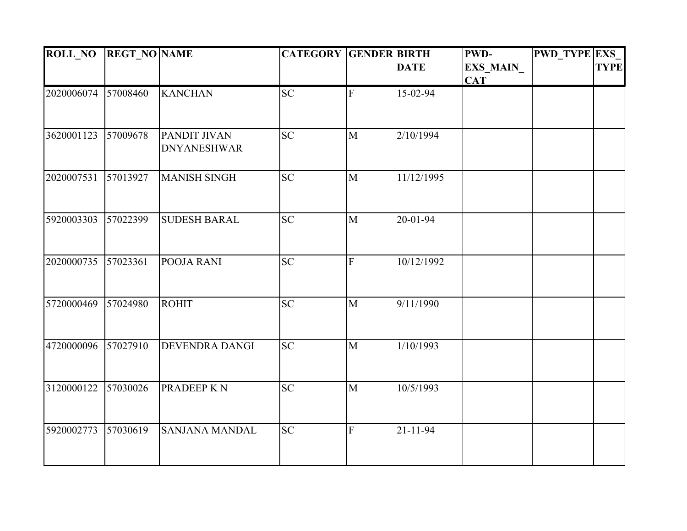| <b>ROLL NO</b> | <b>REGT_NO NAME</b> |                                           | <b>CATEGORY GENDER BIRTH</b> |                |                | PWD-                           | <b>PWD TYPE EXS</b> |             |
|----------------|---------------------|-------------------------------------------|------------------------------|----------------|----------------|--------------------------------|---------------------|-------------|
|                |                     |                                           |                              |                | <b>DATE</b>    | <b>EXS_MAIN_</b><br><b>CAT</b> |                     | <b>TYPE</b> |
| 2020006074     | 57008460            | <b>KANCHAN</b>                            | <b>SC</b>                    | $\mathbf{F}$   | 15-02-94       |                                |                     |             |
| 3620001123     | 57009678            | <b>PANDIT JIVAN</b><br><b>DNYANESHWAR</b> | <b>SC</b>                    | $\mathbf{M}$   | 2/10/1994      |                                |                     |             |
| 2020007531     | 57013927            | <b>MANISH SINGH</b>                       | <b>SC</b>                    | $\mathbf{M}$   | 11/12/1995     |                                |                     |             |
| 5920003303     | 57022399            | <b>SUDESH BARAL</b>                       | <b>SC</b>                    | $\mathbf{M}$   | 20-01-94       |                                |                     |             |
| 2020000735     | 57023361            | POOJA RANI                                | <b>SC</b>                    | $\overline{F}$ | 10/12/1992     |                                |                     |             |
| 5720000469     | 57024980            | <b>ROHIT</b>                              | $\overline{SC}$              | $\mathbf{M}$   | 9/11/1990      |                                |                     |             |
| 4720000096     | 57027910            | <b>DEVENDRA DANGI</b>                     | <b>SC</b>                    | $\overline{M}$ | 1/10/1993      |                                |                     |             |
| 3120000122     | 57030026            | <b>PRADEEP KN</b>                         | $\overline{SC}$              | $\mathbf{M}$   | 10/5/1993      |                                |                     |             |
| 5920002773     | 57030619            | <b>SANJANA MANDAL</b>                     | <b>SC</b>                    | ${\bf F}$      | $21 - 11 - 94$ |                                |                     |             |
|                |                     |                                           |                              |                |                |                                |                     |             |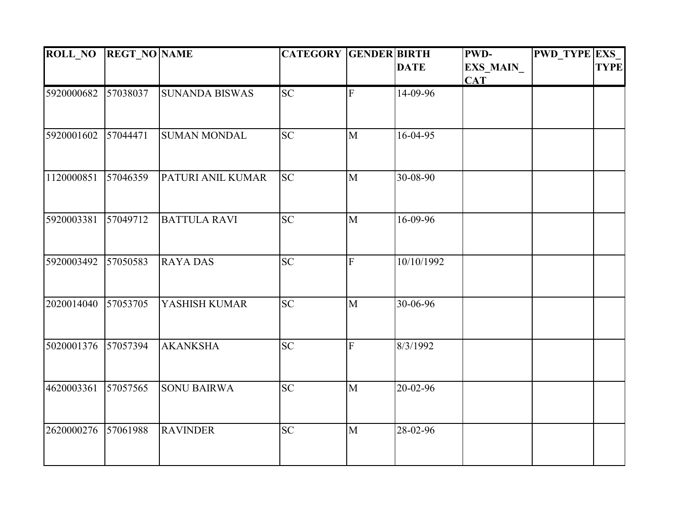| <b>ROLL_NO</b> | <b>REGT_NO NAME</b> |                       | <b>CATEGORY GENDER BIRTH</b> |                |             | <b>PWD-</b> | <b>PWD_TYPE EXS</b> |             |
|----------------|---------------------|-----------------------|------------------------------|----------------|-------------|-------------|---------------------|-------------|
|                |                     |                       |                              |                | <b>DATE</b> | EXS_MAIN_   |                     | <b>TYPE</b> |
|                |                     |                       |                              |                |             | <b>CAT</b>  |                     |             |
| 5920000682     | 57038037            | <b>SUNANDA BISWAS</b> | <b>SC</b>                    | $\mathbf F$    | 14-09-96    |             |                     |             |
|                |                     |                       |                              |                |             |             |                     |             |
| 5920001602     | 57044471            | <b>SUMAN MONDAL</b>   | <b>SC</b>                    | M              | 16-04-95    |             |                     |             |
| 1120000851     | 57046359            | PATURI ANIL KUMAR     | <b>SC</b>                    | $\overline{M}$ | 30-08-90    |             |                     |             |
|                |                     |                       |                              |                |             |             |                     |             |
| 5920003381     | 57049712            | <b>BATTULA RAVI</b>   | $\overline{SC}$              | $\mathbf{M}$   | 16-09-96    |             |                     |             |
|                | 57050583            | <b>RAYADAS</b>        | <b>SC</b>                    | $\mathbf{F}$   |             |             |                     |             |
| 5920003492     |                     |                       |                              |                | 10/10/1992  |             |                     |             |
| 2020014040     | 57053705            | YASHISH KUMAR         | <b>SC</b>                    | $\mathbf{M}$   | 30-06-96    |             |                     |             |
|                |                     |                       |                              |                |             |             |                     |             |
| 5020001376     | 57057394            | <b>AKANKSHA</b>       | <b>SC</b>                    | F              | 8/3/1992    |             |                     |             |
| 4620003361     | 57057565            | <b>SONU BAIRWA</b>    | $\overline{SC}$              | $\mathbf{M}$   | 20-02-96    |             |                     |             |
|                |                     |                       |                              |                |             |             |                     |             |
| 2620000276     | 57061988            | <b>RAVINDER</b>       | <b>SC</b>                    | M              | 28-02-96    |             |                     |             |
|                |                     |                       |                              |                |             |             |                     |             |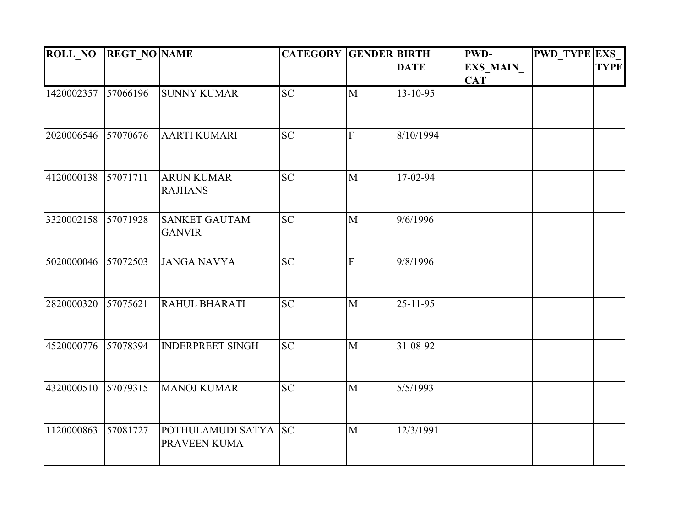| <b>ROLL NO</b> | <b>REGT NO NAME</b> |                         | <b>CATEGORY GENDER BIRTH</b> |                |                | PWD-             | <b>PWD_TYPE EXS</b> |             |
|----------------|---------------------|-------------------------|------------------------------|----------------|----------------|------------------|---------------------|-------------|
|                |                     |                         |                              |                | <b>DATE</b>    | <b>EXS_MAIN_</b> |                     | <b>TYPE</b> |
|                |                     |                         |                              |                |                | <b>CAT</b>       |                     |             |
| 1420002357     | 57066196            | <b>SUNNY KUMAR</b>      | <b>SC</b>                    | $\mathbf{M}$   | $13 - 10 - 95$ |                  |                     |             |
|                |                     |                         |                              |                |                |                  |                     |             |
| 2020006546     | 57070676            | <b>AARTI KUMARI</b>     | <b>SC</b>                    | $\overline{F}$ | 8/10/1994      |                  |                     |             |
| 4120000138     | 57071711            | <b>ARUN KUMAR</b>       | <b>SC</b>                    | $\mathbf{M}$   | 17-02-94       |                  |                     |             |
|                |                     | <b>RAJHANS</b>          |                              |                |                |                  |                     |             |
| 3320002158     | 57071928            | <b>SANKET GAUTAM</b>    | <b>SC</b>                    | $\mathbf{M}$   | 9/6/1996       |                  |                     |             |
|                |                     | <b>GANVIR</b>           |                              |                |                |                  |                     |             |
| 5020000046     | 57072503            | <b>JANGA NAVYA</b>      | <b>SC</b>                    | $\overline{F}$ | 9/8/1996       |                  |                     |             |
| 2820000320     | 57075621            | RAHUL BHARATI           | <b>SC</b>                    | $\mathbf{M}$   | $25 - 11 - 95$ |                  |                     |             |
|                |                     |                         |                              |                |                |                  |                     |             |
| 4520000776     | 57078394            | <b>INDERPREET SINGH</b> | <b>SC</b>                    | $\mathbf{M}$   | 31-08-92       |                  |                     |             |
|                |                     |                         |                              |                |                |                  |                     |             |
| 4320000510     | 57079315            | <b>MANOJ KUMAR</b>      | $\overline{SC}$              | $\mathbf{M}$   | 5/5/1993       |                  |                     |             |
|                |                     |                         |                              |                |                |                  |                     |             |
| 1120000863     | 57081727            | POTHULAMUDI SATYA SC    |                              | M              | 12/3/1991      |                  |                     |             |
|                |                     | PRAVEEN KUMA            |                              |                |                |                  |                     |             |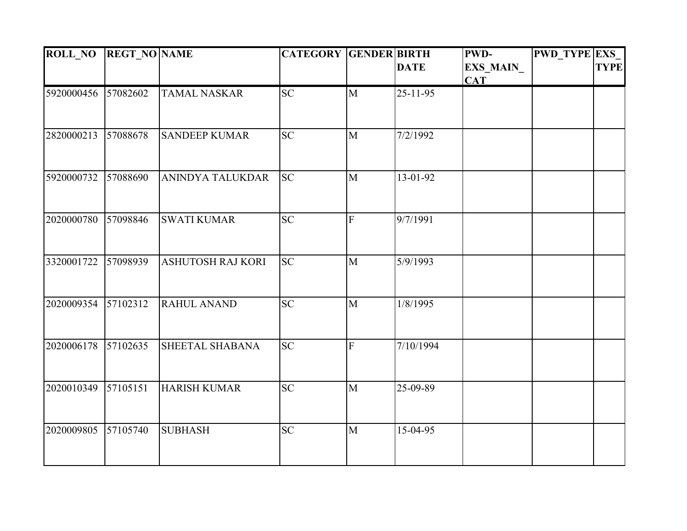| <b>ROLL NO</b> | <b>REGT_NO NAME</b> |                          | <b>CATEGORY GENDER BIRTH</b> |                |                | <b>PWD-</b>             | <b>PWD TYPE EXS</b> |             |
|----------------|---------------------|--------------------------|------------------------------|----------------|----------------|-------------------------|---------------------|-------------|
|                |                     |                          |                              |                | <b>DATE</b>    | EXS_MAIN_<br><b>CAT</b> |                     | <b>TYPE</b> |
| 5920000456     | 57082602            | <b>TAMAL NASKAR</b>      | <b>SC</b>                    | $\mathbf{M}$   | $25 - 11 - 95$ |                         |                     |             |
| 2820000213     | 57088678            | <b>SANDEEP KUMAR</b>     | <b>SC</b>                    | $\mathbf{M}$   | 7/2/1992       |                         |                     |             |
| 5920000732     | 57088690            | <b>ANINDYA TALUKDAR</b>  | <b>SC</b>                    | $\mathbf{M}$   | 13-01-92       |                         |                     |             |
| 2020000780     | 57098846            | <b>SWATI KUMAR</b>       | <b>SC</b>                    | $\overline{F}$ | 9/7/1991       |                         |                     |             |
| 3320001722     | 57098939            | <b>ASHUTOSH RAJ KORI</b> | <b>SC</b>                    | $\mathbf{M}$   | 5/9/1993       |                         |                     |             |
| 2020009354     | 57102312            | <b>RAHUL ANAND</b>       | $\overline{SC}$              | $\overline{M}$ | 1/8/1995       |                         |                     |             |
| 2020006178     | 57102635            | SHEETAL SHABANA          | <b>SC</b>                    | $\overline{F}$ | 7/10/1994      |                         |                     |             |
| 2020010349     | 57105151            | <b>HARISH KUMAR</b>      | $\overline{SC}$              | $\mathbf{M}$   | 25-09-89       |                         |                     |             |
| 2020009805     | 57105740            | <b>SUBHASH</b>           | <b>SC</b>                    | M              | 15-04-95       |                         |                     |             |
|                |                     |                          |                              |                |                |                         |                     |             |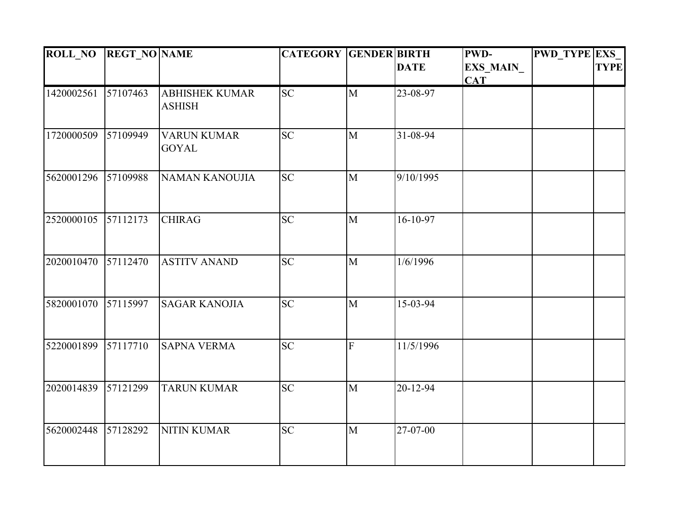| <b>ROLL_NO</b> | <b>REGT_NO NAME</b> |                                        | <b>CATEGORY GENDER BIRTH</b> |                |             | PWD-       | <b>PWD_TYPE EXS_</b> |             |
|----------------|---------------------|----------------------------------------|------------------------------|----------------|-------------|------------|----------------------|-------------|
|                |                     |                                        |                              |                | <b>DATE</b> | EXS_MAIN_  |                      | <b>TYPE</b> |
|                |                     |                                        |                              |                |             | <b>CAT</b> |                      |             |
| 1420002561     | 57107463            | <b>ABHISHEK KUMAR</b><br><b>ASHISH</b> | <b>SC</b>                    | $\mathbf{M}$   | 23-08-97    |            |                      |             |
|                |                     |                                        |                              |                |             |            |                      |             |
| 1720000509     | 57109949            | <b>VARUN KUMAR</b><br><b>GOYAL</b>     | <b>SC</b>                    | $\mathbf{M}$   | 31-08-94    |            |                      |             |
| 5620001296     | 57109988            | <b>NAMAN KANOUJIA</b>                  | <b>SC</b>                    | $\mathbf{M}$   | 9/10/1995   |            |                      |             |
| 2520000105     | 57112173            | <b>CHIRAG</b>                          | <b>SC</b>                    | $\mathbf{M}$   | $16-10-97$  |            |                      |             |
|                |                     |                                        |                              |                |             |            |                      |             |
| 2020010470     | 57112470            | <b>ASTITV ANAND</b>                    | <b>SC</b>                    | $\mathbf{M}$   | 1/6/1996    |            |                      |             |
| 5820001070     | 57115997            | <b>SAGAR KANOJIA</b>                   | <b>SC</b>                    | $\mathbf{M}$   | 15-03-94    |            |                      |             |
|                |                     |                                        |                              |                |             |            |                      |             |
| 5220001899     | 57117710            | <b>SAPNA VERMA</b>                     | <b>SC</b>                    | $\overline{F}$ | 11/5/1996   |            |                      |             |
| 2020014839     | 57121299            | <b>TARUN KUMAR</b>                     | $\overline{SC}$              | $\mathbf{M}$   | 20-12-94    |            |                      |             |
|                |                     |                                        |                              |                |             |            |                      |             |
| 5620002448     | 57128292            | <b>NITIN KUMAR</b>                     | <b>SC</b>                    | M              | 27-07-00    |            |                      |             |
|                |                     |                                        |                              |                |             |            |                      |             |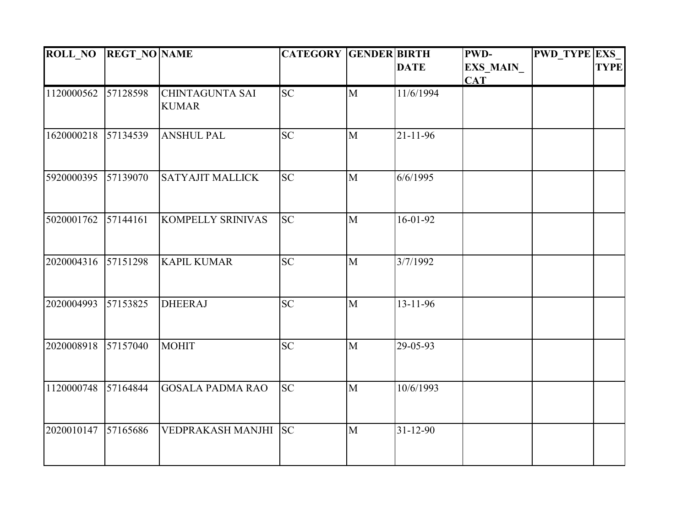| <b>ROLL NO</b> | <b>REGT_NO NAME</b> |                                        | <b>CATEGORY GENDER BIRTH</b> |                |                | <b>PWD-</b>             | <b>PWD TYPE EXS</b> |             |
|----------------|---------------------|----------------------------------------|------------------------------|----------------|----------------|-------------------------|---------------------|-------------|
|                |                     |                                        |                              |                | <b>DATE</b>    | EXS_MAIN_<br><b>CAT</b> |                     | <b>TYPE</b> |
| 1120000562     | 57128598            | <b>CHINTAGUNTA SAI</b><br><b>KUMAR</b> | <b>SC</b>                    | $\mathbf{M}$   | 11/6/1994      |                         |                     |             |
| 1620000218     | 57134539            | <b>ANSHUL PAL</b>                      | <b>SC</b>                    | $\mathbf{M}$   | $21 - 11 - 96$ |                         |                     |             |
| 5920000395     | 57139070            | <b>SATYAJIT MALLICK</b>                | <b>SC</b>                    | $\mathbf{M}$   | 6/6/1995       |                         |                     |             |
| 5020001762     | 57144161            | <b>KOMPELLY SRINIVAS</b>               | <b>SC</b>                    | $\mathbf{M}$   | $16-01-92$     |                         |                     |             |
| 2020004316     | 57151298            | <b>KAPIL KUMAR</b>                     | <b>SC</b>                    | M              | 3/7/1992       |                         |                     |             |
| 2020004993     | 57153825            | <b>DHEERAJ</b>                         | <b>SC</b>                    | $\mathbf{M}$   | $13 - 11 - 96$ |                         |                     |             |
| 2020008918     | 57157040            | <b>MOHIT</b>                           | <b>SC</b>                    | $\mathbf{M}$   | 29-05-93       |                         |                     |             |
| 1120000748     | 57164844            | <b>GOSALA PADMA RAO</b>                | $\overline{SC}$              | $\overline{M}$ | 10/6/1993      |                         |                     |             |
| 2020010147     | 57165686            | VEDPRAKASH MANJHI                      | <b>SC</b>                    | M              | $31 - 12 - 90$ |                         |                     |             |
|                |                     |                                        |                              |                |                |                         |                     |             |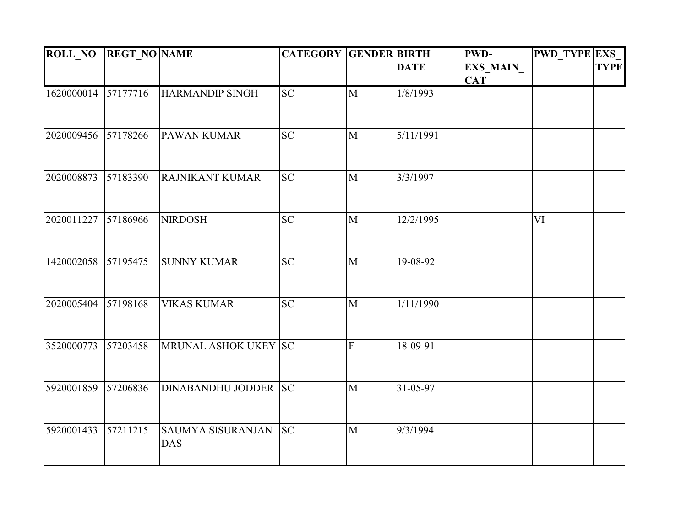| <b>ROLL_NO</b> | <b>REGT_NO NAME</b> |                          | <b>CATEGORY GENDER BIRTH</b> |                |             | <b>PWD-</b> | <b>PWD TYPE EXS</b> |             |
|----------------|---------------------|--------------------------|------------------------------|----------------|-------------|-------------|---------------------|-------------|
|                |                     |                          |                              |                | <b>DATE</b> | EXS_MAIN_   |                     | <b>TYPE</b> |
| 1620000014     | 57177716            | <b>HARMANDIP SINGH</b>   | <b>SC</b>                    | $\mathbf{M}$   | 1/8/1993    | <b>CAT</b>  |                     |             |
|                |                     |                          |                              |                |             |             |                     |             |
|                |                     |                          |                              |                |             |             |                     |             |
| 2020009456     | 57178266            | <b>PAWAN KUMAR</b>       | <b>SC</b>                    | M              | 5/11/1991   |             |                     |             |
|                |                     |                          |                              |                |             |             |                     |             |
|                |                     |                          |                              |                |             |             |                     |             |
| 2020008873     | 57183390            | <b>RAJNIKANT KUMAR</b>   | <b>SC</b>                    | $\mathbf{M}$   | 3/3/1997    |             |                     |             |
|                |                     |                          |                              |                |             |             |                     |             |
| 2020011227     | 57186966            | <b>NIRDOSH</b>           | <b>SC</b>                    | $\mathbf{M}$   | 12/2/1995   |             | VI                  |             |
|                |                     |                          |                              |                |             |             |                     |             |
|                |                     |                          |                              |                |             |             |                     |             |
| 1420002058     | 57195475            | <b>SUNNY KUMAR</b>       | <b>SC</b>                    | $\mathbf{M}$   | 19-08-92    |             |                     |             |
|                |                     |                          |                              |                |             |             |                     |             |
| 2020005404     | 57198168            | <b>VIKAS KUMAR</b>       | <b>SC</b>                    | $\mathbf{M}$   | 1/11/1990   |             |                     |             |
|                |                     |                          |                              |                |             |             |                     |             |
| 3520000773     | 57203458            | MRUNAL ASHOK UKEY SC     |                              | $\overline{F}$ | 18-09-91    |             |                     |             |
|                |                     |                          |                              |                |             |             |                     |             |
|                |                     |                          |                              |                |             |             |                     |             |
| 5920001859     | 57206836            | DINABANDHU JODDER SC     |                              | $\mathbf{M}$   | 31-05-97    |             |                     |             |
|                |                     |                          |                              |                |             |             |                     |             |
| 5920001433     | 57211215            | <b>SAUMYA SISURANJAN</b> | <b>SC</b>                    | M              | 9/3/1994    |             |                     |             |
|                |                     | <b>DAS</b>               |                              |                |             |             |                     |             |
|                |                     |                          |                              |                |             |             |                     |             |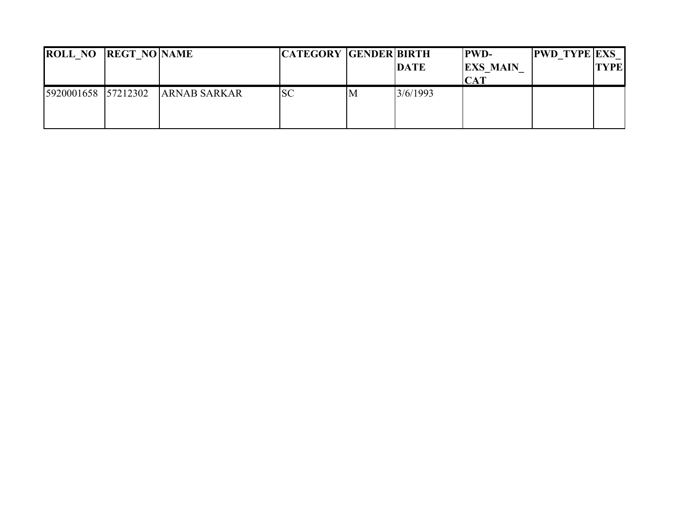| <b>ROLL NO REGT NO NAME</b> |                     | <b>CATEGORY GENDER BIRTH</b> |   | <b>DATE</b> | <b>PWD-</b><br><b>EXS MAIN</b> | <b>PWD TYPE EXS</b> | <b>TYPE</b> |
|-----------------------------|---------------------|------------------------------|---|-------------|--------------------------------|---------------------|-------------|
| 5920001658 57212302         | <b>ARNAB SARKAR</b> | <b>SC</b>                    | M | 3/6/1993    |                                |                     |             |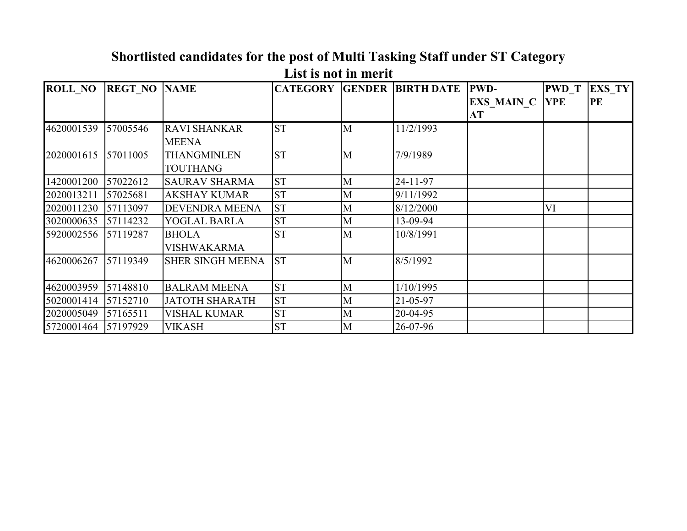| <b>ROLL NO</b> | <b>REGT NO NAME</b> |                                       |           |   | <b>CATEGORY GENDER BIRTH DATE PWD-</b> |                             | <b>PWD T</b> | <b>EXS TY</b> |
|----------------|---------------------|---------------------------------------|-----------|---|----------------------------------------|-----------------------------|--------------|---------------|
|                |                     |                                       |           |   |                                        | <b>EXS MAIN C YPE</b><br>AT |              | PE            |
| 4620001539     | 57005546            | <b>RAVI SHANKAR</b><br><b>MEENA</b>   | <b>ST</b> | M | 11/2/1993                              |                             |              |               |
| 2020001615     | 57011005            | <b>THANGMINLEN</b><br><b>TOUTHANG</b> | <b>ST</b> | M | 7/9/1989                               |                             |              |               |
| 1420001200     | 57022612            | <b>SAURAV SHARMA</b>                  | <b>ST</b> | M | 24-11-97                               |                             |              |               |
| 2020013211     | 57025681            | <b>AKSHAY KUMAR</b>                   | <b>ST</b> | M | 9/11/1992                              |                             |              |               |
| 2020011230     | 57113097            | <b>DEVENDRA MEENA</b>                 | <b>ST</b> | M | 8/12/2000                              |                             | VI           |               |
| 3020000635     | 57114232            | YOGLAL BARLA                          | <b>ST</b> | M | 13-09-94                               |                             |              |               |
| 5920002556     | 57119287            | <b>BHOLA</b><br><b>VISHWAKARMA</b>    | <b>ST</b> | M | 10/8/1991                              |                             |              |               |
| 4620006267     | 57119349            | <b>SHER SINGH MEENA</b>               | <b>ST</b> | M | 8/5/1992                               |                             |              |               |
| 4620003959     | 57148810            | <b>BALRAM MEENA</b>                   | <b>ST</b> | M | 1/10/1995                              |                             |              |               |
| 5020001414     | 57152710            | <b>JATOTH SHARATH</b>                 | <b>ST</b> | M | $21 - 05 - 97$                         |                             |              |               |
| 2020005049     | 57165511            | <b>VISHAL KUMAR</b>                   | <b>ST</b> | M | $20 - 04 - 95$                         |                             |              |               |
| 5720001464     | 57197929            | <b>VIKASH</b>                         | <b>ST</b> | M | 26-07-96                               |                             |              |               |

#### **Shortlisted candidates for the post of Multi Tasking Staff under ST Category List is not in merit**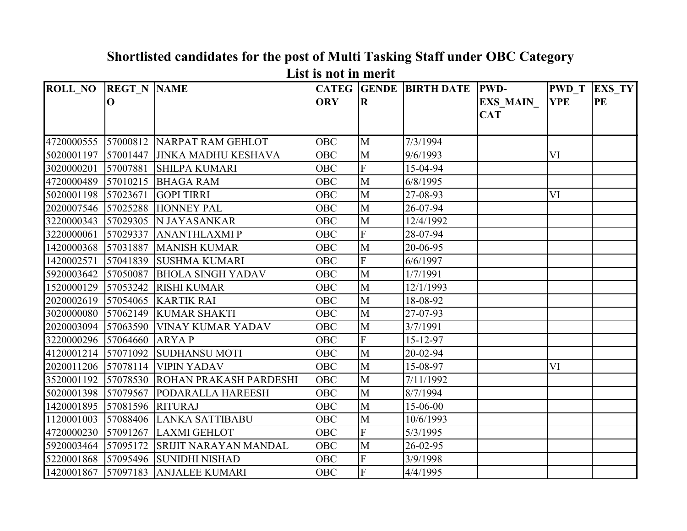| <b>ROLL NO</b> | <b>REGT N NAME</b> |                               |            |                         | <b>CATEG GENDE BIRTH DATE</b> | <b>PWD-</b>     | <b>PWD T</b> | <b>EXS TY</b> |
|----------------|--------------------|-------------------------------|------------|-------------------------|-------------------------------|-----------------|--------------|---------------|
|                | $\mathbf{O}$       |                               | <b>ORY</b> | $\overline{\mathbf{R}}$ |                               | <b>EXS MAIN</b> | <b>YPE</b>   | PE            |
|                |                    |                               |            |                         |                               | <b>CAT</b>      |              |               |
|                |                    |                               |            |                         |                               |                 |              |               |
| 4720000555     |                    | 57000812 NARPAT RAM GEHLOT    | OBC        | M                       | 7/3/1994                      |                 |              |               |
| 5020001197     | 57001447           | <b>JINKA MADHU KESHAVA</b>    | <b>OBC</b> | M                       | 9/6/1993                      |                 | VI           |               |
| 3020000201     | 57007881           | <b>SHILPA KUMARI</b>          | <b>OBC</b> | $\overline{\mathrm{F}}$ | 15-04-94                      |                 |              |               |
| 4720000489     | 57010215           | <b>BHAGA RAM</b>              | <b>OBC</b> | M                       | 6/8/1995                      |                 |              |               |
| 5020001198     | 57023671           | <b>GOPI TIRRI</b>             | <b>OBC</b> | M                       | 27-08-93                      |                 | VI           |               |
| 2020007546     | 57025288           | <b>HONNEY PAL</b>             | <b>OBC</b> | M                       | 26-07-94                      |                 |              |               |
| 3220000343     | 57029305           | N JAYASANKAR                  | <b>OBC</b> | M                       | 12/4/1992                     |                 |              |               |
| 3220000061     | 57029337           | <b>ANANTHLAXMIP</b>           | <b>OBC</b> | $\overline{F}$          | 28-07-94                      |                 |              |               |
| 1420000368     | 57031887           | <b>MANISH KUMAR</b>           | <b>OBC</b> | $\overline{M}$          | 20-06-95                      |                 |              |               |
| 1420002571     | 57041839           | <b>SUSHMA KUMARI</b>          | <b>OBC</b> | $\overline{F}$          | 6/6/1997                      |                 |              |               |
| 5920003642     | 57050087           | <b>BHOLA SINGH YADAV</b>      | <b>OBC</b> | $\overline{M}$          | 1/7/1991                      |                 |              |               |
| 1520000129     | 57053242           | <b>RISHI KUMAR</b>            | <b>OBC</b> | $\overline{M}$          | 12/1/1993                     |                 |              |               |
| 2020002619     | 57054065           | <b>KARTIK RAI</b>             | <b>OBC</b> | M                       | 18-08-92                      |                 |              |               |
| 3020000080     | 57062149           | <b>KUMAR SHAKTI</b>           | <b>OBC</b> | M                       | 27-07-93                      |                 |              |               |
| 2020003094     | 57063590           | <b>VINAY KUMAR YADAV</b>      | <b>OBC</b> | M                       | 3/7/1991                      |                 |              |               |
| 3220000296     | 57064660           | <b>ARYAP</b>                  | <b>OBC</b> | $\overline{F}$          | 15-12-97                      |                 |              |               |
| 4120001214     | 57071092           | <b>SUDHANSU MOTI</b>          | <b>OBC</b> | M                       | 20-02-94                      |                 |              |               |
| 2020011206     | 57078114           | <b>VIPIN YADAV</b>            | <b>OBC</b> | M                       | 15-08-97                      |                 | VI           |               |
| 3520001192     | 57078530           | <b>ROHAN PRAKASH PARDESHI</b> | <b>OBC</b> | M                       | 7/11/1992                     |                 |              |               |
| 5020001398     | 57079567           | <b>PODARALLA HAREESH</b>      | <b>OBC</b> | M                       | 8/7/1994                      |                 |              |               |
| 1420001895     | 57081596           | <b>RITURAJ</b>                | <b>OBC</b> | $\overline{M}$          | 15-06-00                      |                 |              |               |
| 1120001003     | 57088406           | LANKA SATTIBABU               | <b>OBC</b> | M                       | 10/6/1993                     |                 |              |               |
| 4720000230     | 57091267           | <b>LAXMI GEHLOT</b>           | <b>OBC</b> | $\overline{F}$          | 5/3/1995                      |                 |              |               |
| 5920003464     | 57095172           | <b>SRIJIT NARAYAN MANDAL</b>  | <b>OBC</b> | M                       | 26-02-95                      |                 |              |               |
| 5220001868     | 57095496           | <b>SUNIDHI NISHAD</b>         | <b>OBC</b> | $\overline{F}$          | 3/9/1998                      |                 |              |               |
| 1420001867     | 57097183           | <b>ANJALEE KUMARI</b>         | <b>OBC</b> | $\overline{F}$          | 4/4/1995                      |                 |              |               |

**Shortlisted candidates for the post of Multi Tasking Staff under OBC Category List is not in merit**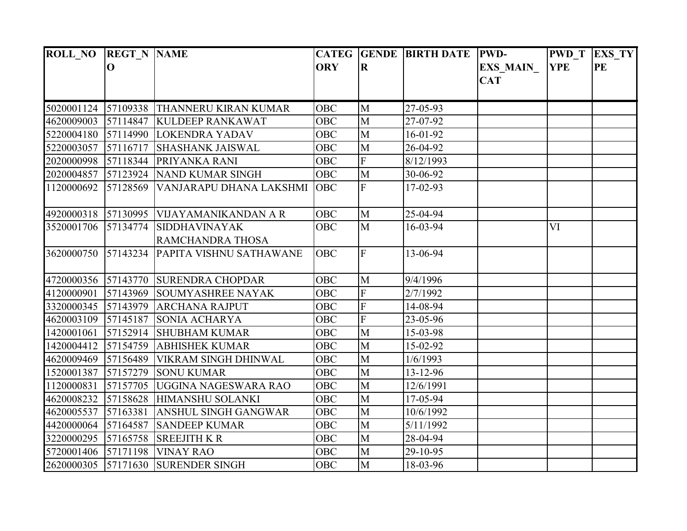| <b>ROLL NO</b> | <b>REGT N NAME</b> |                                          |            |                         | <b>CATEG GENDE BIRTH DATE</b> | <b>PWD-</b>     | <b>PWD</b> T | EXS_TY |
|----------------|--------------------|------------------------------------------|------------|-------------------------|-------------------------------|-----------------|--------------|--------|
|                | $\mathbf 0$        |                                          | <b>ORY</b> | $\bf R$                 |                               | <b>EXS MAIN</b> | <b>YPE</b>   | PE     |
|                |                    |                                          |            |                         |                               | <b>CAT</b>      |              |        |
|                |                    |                                          |            |                         |                               |                 |              |        |
| 5020001124     |                    | 57109338 THANNERU KIRAN KUMAR            | <b>OBC</b> | M                       | 27-05-93                      |                 |              |        |
| 4620009003     |                    | 57114847 KULDEEP RANKAWAT                | <b>OBC</b> | M                       | 27-07-92                      |                 |              |        |
| 5220004180     |                    | 57114990 LOKENDRA YADAV                  | <b>OBC</b> | M                       | 16-01-92                      |                 |              |        |
| 5220003057     | 57116717           | <b>SHASHANK JAISWAL</b>                  | <b>OBC</b> | M                       | 26-04-92                      |                 |              |        |
| 2020000998     |                    | 57118344 PRIYANKA RANI                   | <b>OBC</b> | ${\bf F}$               | 8/12/1993                     |                 |              |        |
| 2020004857     |                    | 57123924 NAND KUMAR SINGH                | <b>OBC</b> | M                       | 30-06-92                      |                 |              |        |
| 1120000692     | 57128569           | VANJARAPU DHANA LAKSHMI                  | <b>OBC</b> | $\mathbf F$             | $17-02-93$                    |                 |              |        |
|                |                    |                                          |            |                         |                               |                 |              |        |
|                |                    | 4920000318 57130995 VIJAYAMANIKANDAN A R | <b>OBC</b> | M                       | 25-04-94                      |                 |              |        |
| 3520001706     |                    | 57134774 SIDDHAVINAYAK                   | <b>OBC</b> | M                       | 16-03-94                      |                 | VI           |        |
|                |                    | RAMCHANDRA THOSA                         |            |                         |                               |                 |              |        |
| 3620000750     |                    | 57143234 PAPITA VISHNU SATHAWANE         | <b>OBC</b> | $\overline{F}$          | 13-06-94                      |                 |              |        |
|                |                    |                                          |            |                         |                               |                 |              |        |
|                |                    | 4720000356 57143770 SURENDRA CHOPDAR     | <b>OBC</b> | M                       | 9/4/1996                      |                 |              |        |
| 4120000901     |                    | 57143969 SOUMYASHREE NAYAK               | <b>OBC</b> | ${\bf F}$               | 2/7/1992                      |                 |              |        |
| 3320000345     | 57143979           | <b>ARCHANA RAJPUT</b>                    | <b>OBC</b> | $\overline{F}$          | 14-08-94                      |                 |              |        |
| 4620003109     |                    | 57145187 SONIA ACHARYA                   | <b>OBC</b> | $\overline{\mathrm{F}}$ | 23-05-96                      |                 |              |        |
| 1420001061     |                    | 57152914 SHUBHAM KUMAR                   | <b>OBC</b> | M                       | 15-03-98                      |                 |              |        |
| 1420004412     |                    | 57154759 ABHISHEK KUMAR                  | <b>OBC</b> | M                       | 15-02-92                      |                 |              |        |
| 4620009469     |                    | 57156489 VIKRAM SINGH DHINWAL            | <b>OBC</b> | $\overline{M}$          | 1/6/1993                      |                 |              |        |
| 1520001387     |                    | 57157279 SONU KUMAR                      | <b>OBC</b> | M                       | 13-12-96                      |                 |              |        |
| 1120000831     |                    | 57157705 UGGINA NAGESWARA RAO            | <b>OBC</b> | M                       | 12/6/1991                     |                 |              |        |
| 4620008232     | 57158628           | HIMANSHU SOLANKI                         | <b>OBC</b> | M                       | 17-05-94                      |                 |              |        |
| 4620005537     | 57163381           | <b>ANSHUL SINGH GANGWAR</b>              | <b>OBC</b> | M                       | 10/6/1992                     |                 |              |        |
| 4420000064     | 57164587           | <b>SANDEEP KUMAR</b>                     | <b>OBC</b> | M                       | 5/11/1992                     |                 |              |        |
| 3220000295     | 57165758           | <b>SREEJITH K R</b>                      | <b>OBC</b> | M                       | 28-04-94                      |                 |              |        |
| 5720001406     |                    | 57171198 VINAY RAO                       | <b>OBC</b> | M                       | 29-10-95                      |                 |              |        |
|                |                    | 2620000305 57171630 SURENDER SINGH       | <b>OBC</b> | M                       | 18-03-96                      |                 |              |        |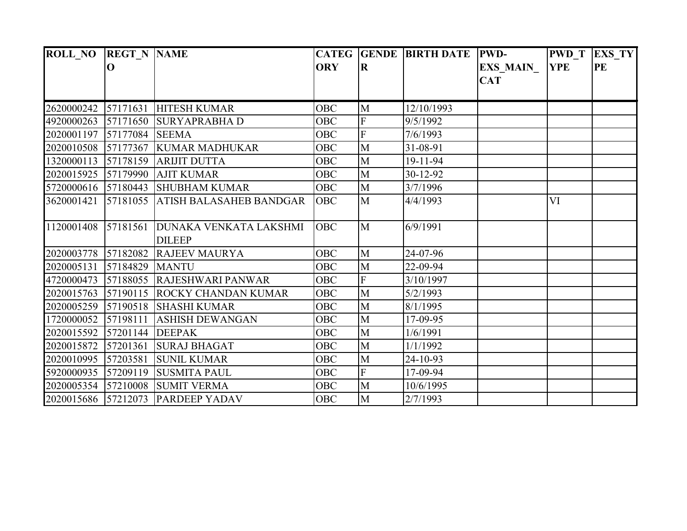| <b>ROLL_NO</b>      | <b>REGT N NAME</b> |                                                |            |                         | CATEG GENDE BIRTH DATE PWD- |                  | <b>PWD T</b> | <b>EXS TY</b> |
|---------------------|--------------------|------------------------------------------------|------------|-------------------------|-----------------------------|------------------|--------------|---------------|
|                     | $\mathbf 0$        |                                                | <b>ORY</b> | $\overline{\mathbf{R}}$ |                             | <b>EXS_MAIN_</b> | <b>YPE</b>   | PE            |
|                     |                    |                                                |            |                         |                             | <b>CAT</b>       |              |               |
|                     |                    |                                                |            |                         |                             |                  |              |               |
| 2620000242          | 57171631           | <b>HITESH KUMAR</b>                            | <b>OBC</b> | M                       | 12/10/1993                  |                  |              |               |
| 4920000263          | 57171650           | <b>SURYAPRABHAD</b>                            | <b>OBC</b> | ${\bf F}$               | 9/5/1992                    |                  |              |               |
| 2020001197          | 57177084 SEEMA     |                                                | <b>OBC</b> | $\overline{\mathrm{F}}$ | 7/6/1993                    |                  |              |               |
| 2020010508          | 57177367           | <b>KUMAR MADHUKAR</b>                          | <b>OBC</b> | M                       | 31-08-91                    |                  |              |               |
| 1320000113          | 57178159           | <b>ARIJIT DUTTA</b>                            | <b>OBC</b> | M                       | 19-11-94                    |                  |              |               |
| 2020015925          | 57179990           | <b>AJIT KUMAR</b>                              | <b>OBC</b> | M                       | 30-12-92                    |                  |              |               |
|                     |                    | 5720000616 57180443 SHUBHAM KUMAR              | OBC        | M                       | 3/7/1996                    |                  |              |               |
| 3620001421          | 57181055           | <b>ATISH BALASAHEB BANDGAR</b>                 | OBC        | M                       | 4/4/1993                    |                  | VI           |               |
| 1120001408          | 57181561           | <b>DUNAKA VENKATA LAKSHMI</b><br><b>DILEEP</b> | <b>OBC</b> | M                       | 6/9/1991                    |                  |              |               |
| 2020003778          | 57182082           | <b>RAJEEV MAURYA</b>                           | <b>OBC</b> | M                       | 24-07-96                    |                  |              |               |
| 2020005131          | 57184829           | <b>MANTU</b>                                   | <b>OBC</b> | M                       | 22-09-94                    |                  |              |               |
| 4720000473          |                    | 57188055 RAJESHWARI PANWAR                     | <b>OBC</b> | $\overline{F}$          | 3/10/1997                   |                  |              |               |
| 2020015763          |                    | 57190115 ROCKY CHANDAN KUMAR                   | OBC        | M                       | 5/2/1993                    |                  |              |               |
| 2020005259          | 57190518           | <b>SHASHI KUMAR</b>                            | <b>OBC</b> | M                       | 8/1/1995                    |                  |              |               |
| 1720000052          | 57198111           | <b>ASHISH DEWANGAN</b>                         | <b>OBC</b> | M                       | 17-09-95                    |                  |              |               |
| 2020015592          | 57201144           | <b>DEEPAK</b>                                  | <b>OBC</b> | M                       | 1/6/1991                    |                  |              |               |
| 2020015872          | 57201361           | <b>SURAJ BHAGAT</b>                            | <b>OBC</b> | M                       | 1/1/1992                    |                  |              |               |
| 2020010995          | 57203581           | <b>SUNIL KUMAR</b>                             | OBC        | M                       | 24-10-93                    |                  |              |               |
| 5920000935          | 57209119           | <b>SUSMITA PAUL</b>                            | <b>OBC</b> | $\overline{F}$          | 17-09-94                    |                  |              |               |
| 2020005354          | 57210008           | <b>SUMIT VERMA</b>                             | <b>OBC</b> | M                       | 10/6/1995                   |                  |              |               |
| 2020015686 57212073 |                    | <b>PARDEEP YADAV</b>                           | OBC        | M                       | 2/7/1993                    |                  |              |               |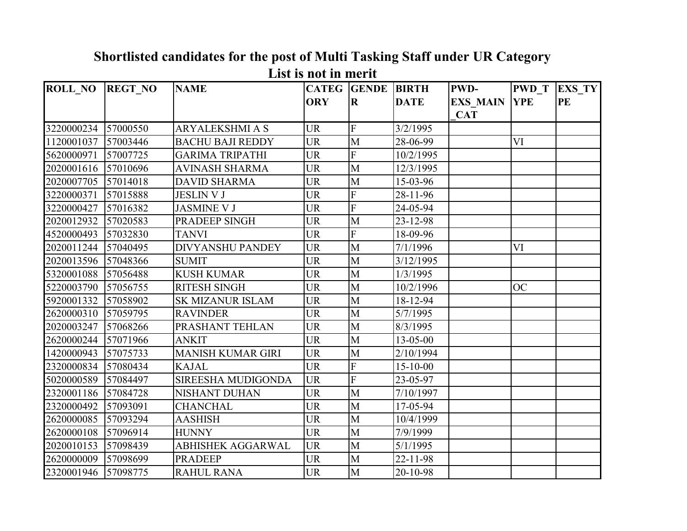| <b>ROLL NO</b> | <b>REGT NO</b> | <b>NAME</b>              | <b>CATEG</b> | <b>GENDE</b>   | <b>BIRTH</b>   | PWD-            | <b>PWD</b> T | <b>EXS_TY</b> |
|----------------|----------------|--------------------------|--------------|----------------|----------------|-----------------|--------------|---------------|
|                |                |                          | <b>ORY</b>   | $\mathbf R$    | <b>DATE</b>    | <b>EXS MAIN</b> | <b>YPE</b>   | <b>PE</b>     |
|                |                |                          |              |                |                | <b>CAT</b>      |              |               |
| 3220000234     | 57000550       | <b>ARYALEKSHMI A S</b>   | <b>UR</b>    | $\overline{F}$ | 3/2/1995       |                 |              |               |
| 1120001037     | 57003446       | <b>BACHU BAJI REDDY</b>  | <b>UR</b>    | M              | 28-06-99       |                 | VI           |               |
| 5620000971     | 57007725       | <b>GARIMA TRIPATHI</b>   | <b>UR</b>    | F              | 10/2/1995      |                 |              |               |
| 2020001616     | 57010696       | <b>AVINASH SHARMA</b>    | <b>UR</b>    | $\mathbf{M}$   | 12/3/1995      |                 |              |               |
| 2020007705     | 57014018       | <b>DAVID SHARMA</b>      | <b>UR</b>    | M              | 15-03-96       |                 |              |               |
| 3220000371     | 57015888       | <b>JESLIN V J</b>        | <b>UR</b>    | F              | 28-11-96       |                 |              |               |
| 3220000427     | 57016382       | <b>JASMINE V J</b>       | <b>UR</b>    | F              | 24-05-94       |                 |              |               |
| 2020012932     | 57020583       | PRADEEP SINGH            | <b>UR</b>    | $\mathbf{M}$   | 23-12-98       |                 |              |               |
| 4520000493     | 57032830       | <b>TANVI</b>             | <b>UR</b>    | $\overline{F}$ | 18-09-96       |                 |              |               |
| 2020011244     | 57040495       | <b>DIVYANSHU PANDEY</b>  | <b>UR</b>    | M              | 7/1/1996       |                 | VI           |               |
| 2020013596     | 57048366       | <b>SUMIT</b>             | <b>UR</b>    | M              | 3/12/1995      |                 |              |               |
| 5320001088     | 57056488       | <b>KUSH KUMAR</b>        | <b>UR</b>    | M              | 1/3/1995       |                 |              |               |
| 5220003790     | 57056755       | <b>RITESH SINGH</b>      | <b>UR</b>    | $\mathbf{M}$   | 10/2/1996      |                 | <b>OC</b>    |               |
| 5920001332     | 57058902       | <b>SK MIZANUR ISLAM</b>  | <b>UR</b>    | $\mathbf M$    | 18-12-94       |                 |              |               |
| 2620000310     | 57059795       | <b>RAVINDER</b>          | <b>UR</b>    | M              | 5/7/1995       |                 |              |               |
| 2020003247     | 57068266       | PRASHANT TEHLAN          | <b>UR</b>    | M              | 8/3/1995       |                 |              |               |
| 2620000244     | 57071966       | <b>ANKIT</b>             | <b>UR</b>    | M              | 13-05-00       |                 |              |               |
| 1420000943     | 57075733       | <b>MANISH KUMAR GIRI</b> | <b>UR</b>    | M              | 2/10/1994      |                 |              |               |
| 2320000834     | 57080434       | <b>KAJAL</b>             | <b>UR</b>    | F              | $15 - 10 - 00$ |                 |              |               |
| 5020000589     | 57084497       | SIREESHA MUDIGONDA       | <b>UR</b>    | F              | 23-05-97       |                 |              |               |
| 2320001186     | 57084728       | NISHANT DUHAN            | <b>UR</b>    | $\mathbf{M}$   | 7/10/1997      |                 |              |               |
| 2320000492     | 57093091       | <b>CHANCHAL</b>          | <b>UR</b>    | M              | 17-05-94       |                 |              |               |
| 2620000085     | 57093294       | <b>AASHISH</b>           | <b>UR</b>    | $\mathbf{M}$   | 10/4/1999      |                 |              |               |
| 2620000108     | 57096914       | <b>HUNNY</b>             | <b>UR</b>    | $\mathbf{M}$   | 7/9/1999       |                 |              |               |
| 2020010153     | 57098439       | <b>ABHISHEK AGGARWAL</b> | <b>UR</b>    | $\mathbf{M}$   | 5/1/1995       |                 |              |               |
| 2620000009     | 57098699       | <b>PRADEEP</b>           | <b>UR</b>    | $\mathbf M$    | 22-11-98       |                 |              |               |
| 2320001946     | 57098775       | <b>RAHUL RANA</b>        | <b>UR</b>    | M              | 20-10-98       |                 |              |               |

## **Shortlisted candidates for the post of Multi Tasking Staff under UR Category List is not in merit**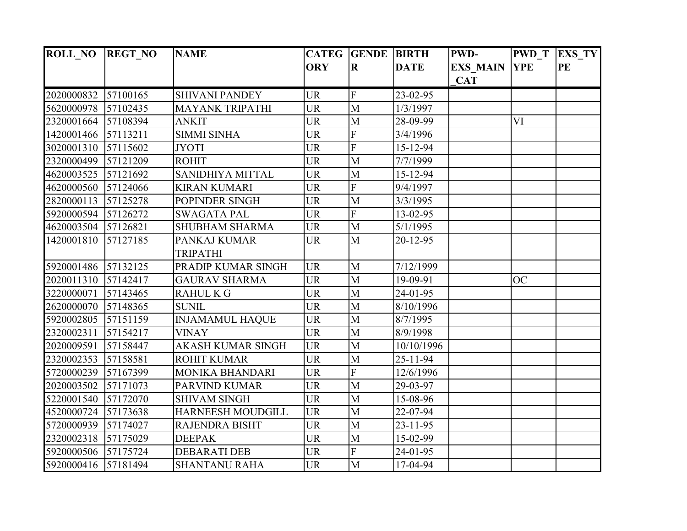| <b>ROLL_NO</b>      | <b>REGT_NO</b> | <b>NAME</b>              | <b>CATEG</b> | <b>GENDE</b>            | <b>BIRTH</b>   | <b>PWD-</b>     | <b>PWD T</b> | <b>EXS TY</b> |
|---------------------|----------------|--------------------------|--------------|-------------------------|----------------|-----------------|--------------|---------------|
|                     |                |                          | <b>ORY</b>   | $\overline{\mathbf{R}}$ | <b>DATE</b>    | <b>EXS_MAIN</b> | <b>YPE</b>   | <b>PE</b>     |
|                     |                |                          |              |                         |                | <b>CAT</b>      |              |               |
| 2020000832          | 57100165       | <b>SHIVANI PANDEY</b>    | <b>UR</b>    | $\overline{F}$          | 23-02-95       |                 |              |               |
| 5620000978          | 57102435       | <b>MAYANK TRIPATHI</b>   | <b>UR</b>    | $\overline{M}$          | 1/3/1997       |                 |              |               |
| 2320001664          | 57108394       | <b>ANKIT</b>             | <b>UR</b>    | $\mathbf{M}$            | 28-09-99       |                 | VI           |               |
| 1420001466          | 57113211       | <b>SIMMI SINHA</b>       | <b>UR</b>    | $\overline{F}$          | 3/4/1996       |                 |              |               |
| 3020001310          | 57115602       | <b>JYOTI</b>             | <b>UR</b>    | F                       | 15-12-94       |                 |              |               |
| 2320000499          | 57121209       | <b>ROHIT</b>             | <b>UR</b>    | M                       | 7/7/1999       |                 |              |               |
| 4620003525          | 57121692       | SANIDHIYA MITTAL         | <b>UR</b>    | $\mathbf{M}$            | 15-12-94       |                 |              |               |
| 4620000560          | 57124066       | <b>KIRAN KUMARI</b>      | <b>UR</b>    | F                       | 9/4/1997       |                 |              |               |
| 2820000113          | 57125278       | POPINDER SINGH           | <b>UR</b>    | M                       | 3/3/1995       |                 |              |               |
| 5920000594          | 57126272       | <b>SWAGATA PAL</b>       | <b>UR</b>    | $\overline{F}$          | 13-02-95       |                 |              |               |
| 4620003504          | 57126821       | <b>SHUBHAM SHARMA</b>    | <b>UR</b>    | $\overline{M}$          | 5/1/1995       |                 |              |               |
| 1420001810          | 57127185       | PANKAJ KUMAR             | <b>UR</b>    | M                       | $20 - 12 - 95$ |                 |              |               |
|                     |                | <b>TRIPATHI</b>          |              |                         |                |                 |              |               |
| 5920001486 57132125 |                | PRADIP KUMAR SINGH       | <b>UR</b>    | M                       | 7/12/1999      |                 |              |               |
| 2020011310          | 57142417       | <b>GAURAV SHARMA</b>     | <b>UR</b>    | $\mathbf{M}$            | 19-09-91       |                 | <b>OC</b>    |               |
| 3220000071          | 57143465       | <b>RAHUL K G</b>         | <b>UR</b>    | $\overline{M}$          | 24-01-95       |                 |              |               |
| 2620000070          | 57148365       | <b>SUNIL</b>             | <b>UR</b>    | $\mathbf{M}$            | 8/10/1996      |                 |              |               |
| 5920002805          | 57151159       | <b>INJAMAMUL HAQUE</b>   | <b>UR</b>    | M                       | 8/7/1995       |                 |              |               |
| 2320002311          | 57154217       | <b>VINAY</b>             | <b>UR</b>    | $\mathbf{M}$            | 8/9/1998       |                 |              |               |
| 2020009591          | 57158447       | <b>AKASH KUMAR SINGH</b> | <b>UR</b>    | M                       | 10/10/1996     |                 |              |               |
| 2320002353          | 57158581       | <b>ROHIT KUMAR</b>       | <b>UR</b>    | $\mathbf{M}$            | $25 - 11 - 94$ |                 |              |               |
| 5720000239          | 57167399       | <b>MONIKA BHANDARI</b>   | <b>UR</b>    | $\overline{F}$          | 12/6/1996      |                 |              |               |
| 2020003502          | 57171073       | <b>PARVIND KUMAR</b>     | <b>UR</b>    | $\overline{M}$          | 29-03-97       |                 |              |               |
| 5220001540          | 57172070       | <b>SHIVAM SINGH</b>      | <b>UR</b>    | $\mathbf{M}$            | 15-08-96       |                 |              |               |
| 4520000724          | 57173638       | <b>HARNEESH MOUDGILL</b> | <b>UR</b>    | M                       | 22-07-94       |                 |              |               |
| 5720000939          | 57174027       | <b>RAJENDRA BISHT</b>    | <b>UR</b>    | $\overline{M}$          | $23 - 11 - 95$ |                 |              |               |
| 2320002318          | 57175029       | <b>DEEPAK</b>            | <b>UR</b>    | $\mathbf M$             | 15-02-99       |                 |              |               |
| 5920000506          | 57175724       | <b>DEBARATI DEB</b>      | <b>UR</b>    | F                       | 24-01-95       |                 |              |               |
| 5920000416 57181494 |                | <b>SHANTANU RAHA</b>     | <b>UR</b>    | $\overline{M}$          | 17-04-94       |                 |              |               |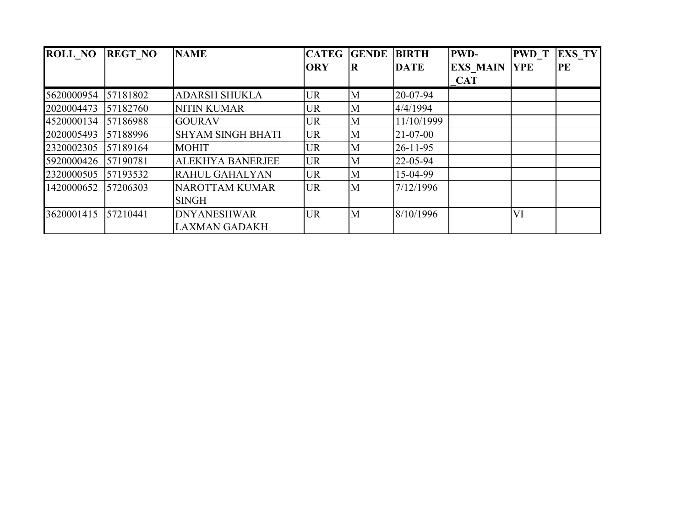| <b>ROLL NO</b> | <b>REGT NO</b> | <b>NAME</b>              | <b>CATEG</b> | <b>GENDE</b> | <b>BIRTH</b>   | <b>PWD-</b>     | <b>PWD</b> T | <b>EXS TY</b> |
|----------------|----------------|--------------------------|--------------|--------------|----------------|-----------------|--------------|---------------|
|                |                |                          | <b>ORY</b>   | R            | <b>DATE</b>    | <b>EXS MAIN</b> | <b>YPE</b>   | PE            |
|                |                |                          |              |              |                | <b>CAT</b>      |              |               |
| 5620000954     | 57181802       | <b>ADARSH SHUKLA</b>     | UR           | M            | 20-07-94       |                 |              |               |
| 2020004473     | 57182760       | <b>NITIN KUMAR</b>       | UR           | M            | 4/4/1994       |                 |              |               |
| 4520000134     | 57186988       | <b>GOURAV</b>            | UR           | M            | 11/10/1999     |                 |              |               |
| 2020005493     | 57188996       | <b>SHYAM SINGH BHATI</b> | <b>UR</b>    | M            | $21 - 07 - 00$ |                 |              |               |
| 2320002305     | 57189164       | <b>MOHIT</b>             | UR           | M            | $26 - 11 - 95$ |                 |              |               |
| 5920000426     | 57190781       | <b>ALEKHYA BANERJEE</b>  | <b>UR</b>    | M            | 22-05-94       |                 |              |               |
| 2320000505     | 57193532       | RAHUL GAHALYAN           | <b>UR</b>    | M            | 15-04-99       |                 |              |               |
| 1420000652     | 57206303       | <b>NAROTTAM KUMAR</b>    | <b>UR</b>    | M            | 7/12/1996      |                 |              |               |
|                |                | <b>SINGH</b>             |              |              |                |                 |              |               |
| 3620001415     | 57210441       | <b>DNYANESHWAR</b>       | <b>UR</b>    | M            | 8/10/1996      |                 | VI           |               |
|                |                | <b>LAXMAN GADAKH</b>     |              |              |                |                 |              |               |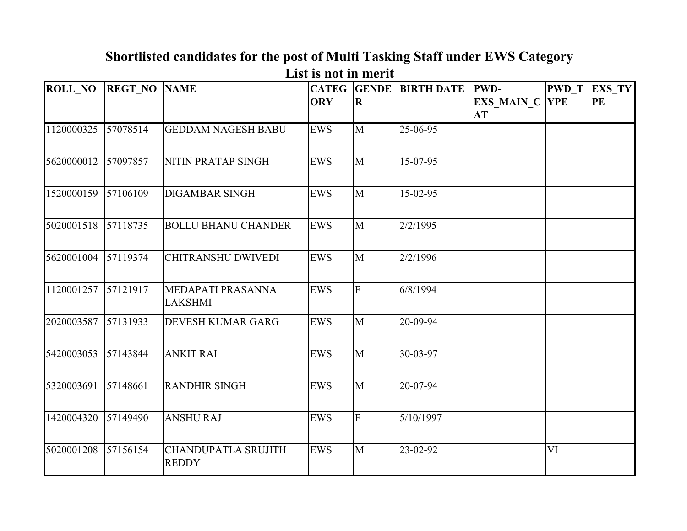| <b>ROLL NO</b> | <b>REGT NO</b> | <b>NAME</b>                | <b>CATEG</b> | <b>GENDE</b>            | <b>BIRTH DATE</b> | <b>PWD-</b>           | <b>PWD T</b> | EXS_TY |
|----------------|----------------|----------------------------|--------------|-------------------------|-------------------|-----------------------|--------------|--------|
|                |                |                            | <b>ORY</b>   | $\overline{\mathbf{R}}$ |                   | <b>EXS MAIN C YPE</b> |              | PE     |
|                |                |                            |              |                         |                   | <b>AT</b>             |              |        |
|                |                |                            |              |                         |                   |                       |              |        |
| 1120000325     | 57078514       | <b>GEDDAM NAGESH BABU</b>  | <b>EWS</b>   | M                       | 25-06-95          |                       |              |        |
|                |                |                            |              |                         |                   |                       |              |        |
| 5620000012     | 57097857       | NITIN PRATAP SINGH         | <b>EWS</b>   | M                       | 15-07-95          |                       |              |        |
|                |                |                            |              |                         |                   |                       |              |        |
| 1520000159     | 57106109       | <b>DIGAMBAR SINGH</b>      | <b>EWS</b>   | M                       | $15-02-95$        |                       |              |        |
|                |                |                            |              |                         |                   |                       |              |        |
|                |                |                            |              |                         |                   |                       |              |        |
| 5020001518     | 57118735       | <b>BOLLU BHANU CHANDER</b> | <b>EWS</b>   | M                       | 2/2/1995          |                       |              |        |
|                |                |                            |              |                         |                   |                       |              |        |
| 5620001004     | 57119374       | <b>CHITRANSHU DWIVEDI</b>  | <b>EWS</b>   | M                       | 2/2/1996          |                       |              |        |
|                |                |                            |              |                         |                   |                       |              |        |
|                |                |                            |              |                         |                   |                       |              |        |
| 1120001257     | 57121917       | MEDAPATI PRASANNA          | <b>EWS</b>   | $\overline{F}$          | 6/8/1994          |                       |              |        |
|                |                | <b>LAKSHMI</b>             |              |                         |                   |                       |              |        |
| 2020003587     | 57131933       | <b>DEVESH KUMAR GARG</b>   | <b>EWS</b>   | M                       | 20-09-94          |                       |              |        |
|                |                |                            |              |                         |                   |                       |              |        |
| 5420003053     | 57143844       | <b>ANKIT RAI</b>           | <b>EWS</b>   | M                       | 30-03-97          |                       |              |        |
|                |                |                            |              |                         |                   |                       |              |        |
|                |                |                            |              |                         |                   |                       |              |        |
| 5320003691     | 57148661       | <b>RANDHIR SINGH</b>       | <b>EWS</b>   | M                       | 20-07-94          |                       |              |        |
|                |                |                            |              |                         |                   |                       |              |        |
| 1420004320     | 57149490       | <b>ANSHU RAJ</b>           | <b>EWS</b>   | $\overline{F}$          | 5/10/1997         |                       |              |        |
|                |                |                            |              |                         |                   |                       |              |        |
|                |                |                            |              |                         |                   |                       |              |        |
| 5020001208     | 57156154       | <b>CHANDUPATLA SRUJITH</b> | EWS          | M                       | 23-02-92          |                       | VI           |        |
|                |                | <b>REDDY</b>               |              |                         |                   |                       |              |        |

### **Shortlisted candidates for the post of Multi Tasking Staff under EWS Category List is not in merit**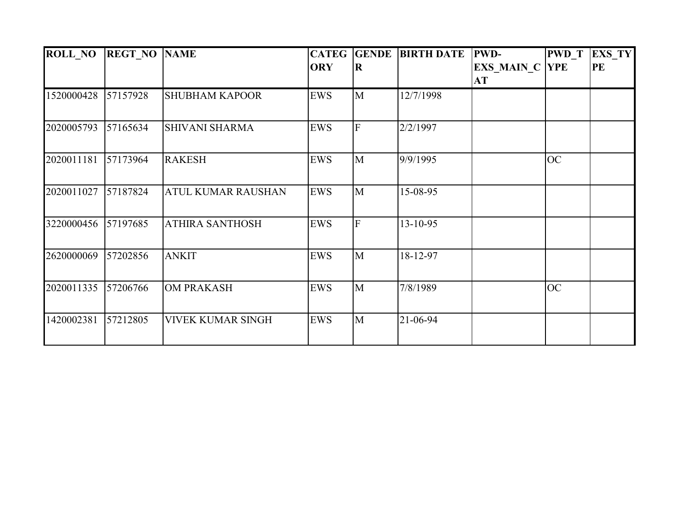| <b>ROLL NO</b> | <b>REGT NO NAME</b> |                           | <b>CATEG</b> | <b>GENDE</b> | <b>BIRTH DATE</b> | <b>PWD-</b>           | <b>PWD</b> T | <b>EXS TY</b> |
|----------------|---------------------|---------------------------|--------------|--------------|-------------------|-----------------------|--------------|---------------|
|                |                     |                           | <b>ORY</b>   | $\bf R$      |                   | <b>EXS MAIN C YPE</b> |              | PE            |
|                |                     |                           |              |              |                   | АT                    |              |               |
| 1520000428     | 57157928            | <b>SHUBHAM KAPOOR</b>     | <b>EWS</b>   | M            | 12/7/1998         |                       |              |               |
| 2020005793     | 57165634            | <b>SHIVANI SHARMA</b>     | <b>EWS</b>   | $\mathbf F$  | 2/2/1997          |                       |              |               |
| 2020011181     | 57173964            | <b>RAKESH</b>             | <b>EWS</b>   | M            | 9/9/1995          |                       | <b>OC</b>    |               |
| 2020011027     | 57187824            | <b>ATUL KUMAR RAUSHAN</b> | <b>EWS</b>   | M            | 15-08-95          |                       |              |               |
| 3220000456     | 57197685            | <b>ATHIRA SANTHOSH</b>    | <b>EWS</b>   | F            | 13-10-95          |                       |              |               |
| 2620000069     | 57202856            | <b>ANKIT</b>              | <b>EWS</b>   | M            | 18-12-97          |                       |              |               |
| 2020011335     | 57206766            | <b>OM PRAKASH</b>         | <b>EWS</b>   | M            | 7/8/1989          |                       | <b>OC</b>    |               |
| 1420002381     | 57212805            | <b>VIVEK KUMAR SINGH</b>  | <b>EWS</b>   | M            | 21-06-94          |                       |              |               |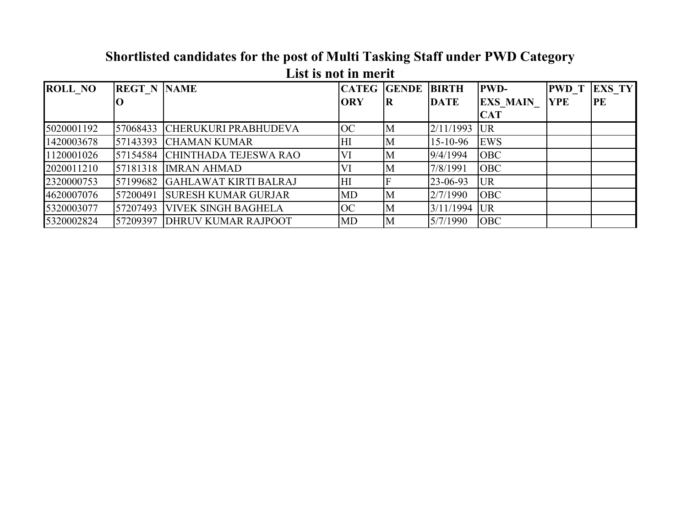|                | тим ну нус не пісі п |                              |                |                    |                |                 |              |               |  |  |  |  |
|----------------|----------------------|------------------------------|----------------|--------------------|----------------|-----------------|--------------|---------------|--|--|--|--|
| <b>ROLL NO</b> | <b>REGT N NAME</b>   |                              | <b>CATEG</b>   | <b>GENDE BIRTH</b> |                | <b>PWD-</b>     | <b>PWD</b> T | <b>EXS TY</b> |  |  |  |  |
|                |                      |                              | <b>ORY</b>     | R                  | <b>DATE</b>    | <b>EXS MAIN</b> | <b>YPE</b>   | PE            |  |  |  |  |
|                |                      |                              |                |                    |                | <b>CAT</b>      |              |               |  |  |  |  |
| 5020001192     | 57068433             | <b>CHERUKURI PRABHUDEVA</b>  | <b>OC</b>      | M                  | 2/11/1993      | <b>UR</b>       |              |               |  |  |  |  |
| 1420003678     | 57143393             | <b>CHAMAN KUMAR</b>          | H <sub>I</sub> | M                  | $15 - 10 - 96$ | <b>EWS</b>      |              |               |  |  |  |  |
| 1120001026     | 57154584             | <b>CHINTHADA TEJESWA RAO</b> | VI             | M                  | 9/4/1994       | <b>OBC</b>      |              |               |  |  |  |  |
| 2020011210     |                      | 57181318 IMRAN AHMAD         | VI             | M                  | 7/8/1991       | <b>OBC</b>      |              |               |  |  |  |  |
| 2320000753     | 57199682             | GAHLAWAT KIRTI BALRAJ        | HI             |                    | 23-06-93       | <b>UR</b>       |              |               |  |  |  |  |
| 4620007076     | 57200491             | <b>SURESH KUMAR GURJAR</b>   | <b>MD</b>      | M                  | 2/7/1990       | <b>OBC</b>      |              |               |  |  |  |  |
| 5320003077     | 57207493             | <b>VIVEK SINGH BAGHELA</b>   | <b>OC</b>      | M                  | 3/11/1994      | <b>UR</b>       |              |               |  |  |  |  |
| 5320002824     | 57209397             | <b>DHRUV KUMAR RAJPOOT</b>   | MD             | M                  | 5/7/1990       | <b>OBC</b>      |              |               |  |  |  |  |

#### **Shortlisted candidates for the post of Multi Tasking Staff under PWD Category List is not in merit**